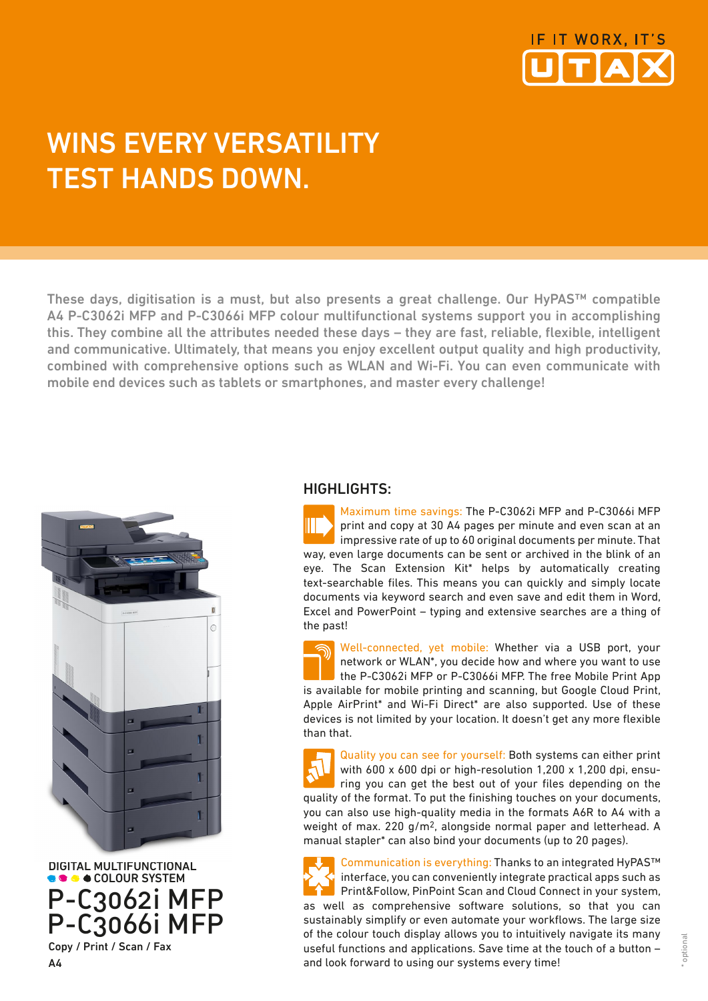

## WINS EVERY VERSATILITY TEST HANDS DOWN.

These days, digitisation is a must, but also presents a great challenge. Our HyPAS™ compatible A4 P-C3062i MFP and P-C3066i MFP colour multifunctional systems support you in accomplishing this. They combine all the attributes needed these days – they are fast, reliable, flexible, intelligent and communicative. Ultimately, that means you enjoy excellent output quality and high productivity, combined with comprehensive options such as WLAN and Wi-Fi. You can even communicate with mobile end devices such as tablets or smartphones, and master every challenge!



 DIGITAL MULTIFUNCTIONAL  $\bullet$   $\bullet$  COLOUR SYSTEM P-C3062i MFP P-C3066i MFP Copy / Print / Scan / Fax

## HIGHLIGHTS:

Maximum time savings: The P-C3062i MFP and P-C3066i MFP print and copy at 30 A4 pages per minute and even scan at an impressive rate of up to 60 original documents per minute. That way, even large documents can be sent or archived in the blink of an eye. The Scan Extension Kit\* helps by automatically creating text-searchable files. This means you can quickly and simply locate documents via keyword search and even save and edit them in Word, Excel and PowerPoint – typing and extensive searches are a thing of the past!

Well-connected, yet mobile: Whether via a USB port, your network or WLAN\*, you decide how and where you want to use the P-C3062i MFP or P-C3066i MFP. The free Mobile Print App is available for mobile printing and scanning, but Google Cloud Print, Apple AirPrint\* and Wi-Fi Direct\* are also supported. Use of these devices is not limited by your location. It doesn't get any more flexible than that.

Quality you can see for yourself: Both systems can either print with 600 x 600 dpi or high-resolution 1,200 x 1,200 dpi, ensuring you can get the best out of your files depending on the quality of the format. To put the finishing touches on your documents, you can also use high-quality media in the formats A6R to A4 with a weight of max. 220 g/m2, alongside normal paper and letterhead. A manual stapler\* can also bind your documents (up to 20 pages).

Communication is everything: Thanks to an integrated HyPAS™ interface, you can conveniently integrate practical apps such as Print&Follow, PinPoint Scan and Cloud Connect in your system, as well as comprehensive software solutions, so that you can sustainably simplify or even automate your workflows. The large size of the colour touch display allows you to intuitively navigate its many useful functions and applications. Save time at the touch of a button – and look forward to using our systems every time!